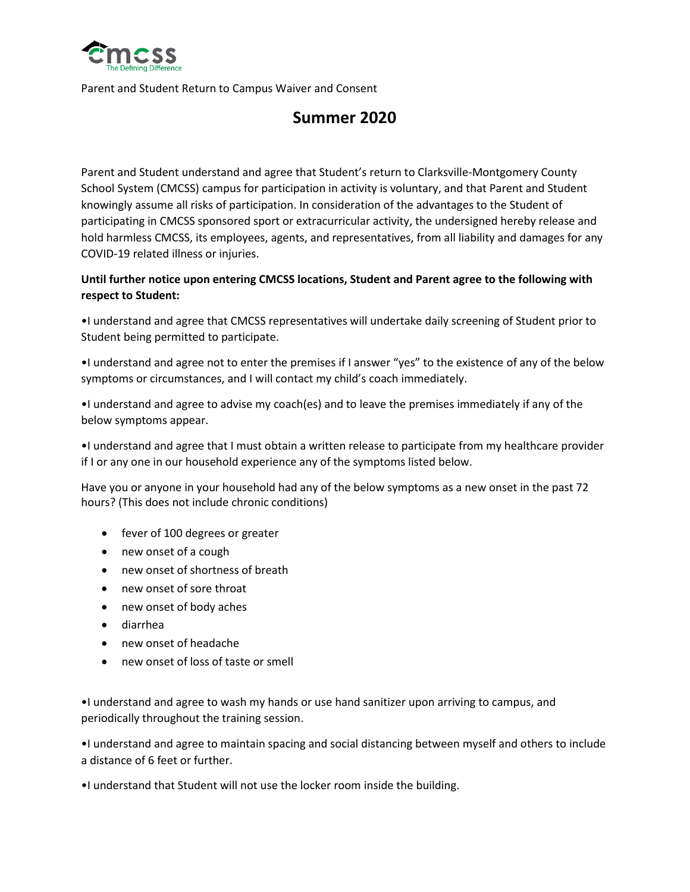

Parent and Student Return to Campus Waiver and Consent

## **Summer 2020**

Parent and Student understand and agree that Student's return to Clarksville-Montgomery County School System (CMCSS) campus for participation in activity is voluntary, and that Parent and Student knowingly assume all risks of participation. In consideration of the advantages to the Student of participating in CMCSS sponsored sport or extracurricular activity, the undersigned hereby release and hold harmless CMCSS, its employees, agents, and representatives, from all liability and damages for any COVID-19 related illness or injuries.

## **Until further notice upon entering CMCSS locations, Student and Parent agree to the following with respect to Student:**

•I understand and agree that CMCSS representatives will undertake daily screening of Student prior to Student being permitted to participate.

•I understand and agree not to enter the premises if I answer "yes" to the existence of any of the below symptoms or circumstances, and I will contact my child's coach immediately.

•I understand and agree to advise my coach(es) and to leave the premises immediately if any of the below symptoms appear.

•I understand and agree that I must obtain a written release to participate from my healthcare provider if I or any one in our household experience any of the symptoms listed below.

Have you or anyone in your household had any of the below symptoms as a new onset in the past 72 hours? (This does not include chronic conditions)

- fever of 100 degrees or greater
- new onset of a cough
- new onset of shortness of breath
- new onset of sore throat
- new onset of body aches
- diarrhea
- new onset of headache
- new onset of loss of taste or smell

•I understand and agree to wash my hands or use hand sanitizer upon arriving to campus, and periodically throughout the training session.

•I understand and agree to maintain spacing and social distancing between myself and others to include a distance of 6 feet or further.

•I understand that Student will not use the locker room inside the building.